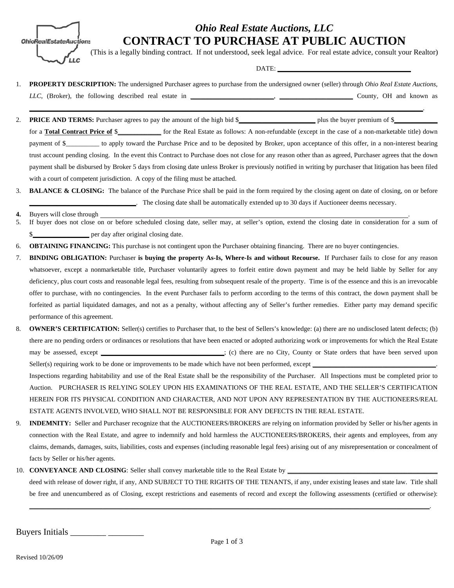

## *Ohio Real Estate Auctions, LLC*  **CONTRACT TO PURCHASE AT PUBLIC AUCTION**

(This is a legally binding contract. If not understood, seek legal advice. For real estate advice, consult your Realtor)

DATE: **\_\_\_\_\_\_\_\_\_\_\_\_\_\_\_\_\_\_\_\_\_\_\_\_\_\_\_\_\_\_\_\_\_\_\_\_\_\_\_\_**

1. **PROPERTY DESCRIPTION:** The undersigned Purchaser agrees to purchase from the undersigned owner (seller) through *Ohio Real Estate Auctions, LLC*, (Broker), the following described real estate in **\_\_\_\_\_\_\_\_\_\_\_\_\_\_\_\_\_\_\_\_\_\_\_\_\_**, **\_\_\_\_\_\_\_\_\_\_\_\_\_\_\_\_\_\_\_\_\_\_** County, OH and known as

**\_\_\_\_\_\_\_\_\_\_\_\_\_\_\_\_\_\_\_\_\_\_\_\_\_\_\_\_\_\_\_\_\_\_\_\_\_\_\_\_\_\_\_\_\_\_\_\_\_\_\_\_\_\_\_\_\_\_\_\_\_\_\_\_\_\_\_\_\_\_\_\_\_\_\_\_\_\_\_\_\_\_\_\_\_\_\_\_\_\_\_\_\_\_\_\_\_\_\_\_\_\_\_\_\_\_\_\_\_\_\_\_\_\_\_\_\_\_**.

2. **PRICE AND TERMS:** Purchaser agrees to pay the amount of the high bid \$ plus the buyer premium of \$

for a **Total Contract Price of** \$**\_\_\_\_\_\_\_\_\_\_\_\_\_** for the Real Estate as follows: A non-refundable (except in the case of a non-marketable title) down payment of \$\_\_\_\_\_\_\_\_\_\_ to apply toward the Purchase Price and to be deposited by Broker, upon acceptance of this offer, in a non-interest bearing trust account pending closing. In the event this Contract to Purchase does not close for any reason other than as agreed, Purchaser agrees that the down payment shall be disbursed by Broker 5 days from closing date unless Broker is previously notified in writing by purchaser that litigation has been filed with a court of competent jurisdiction. A copy of the filing must be attached.

- 3. **BALANCE & CLOSING:** The balance of the Purchase Price shall be paid in the form required by the closing agent on date of closing, on or before **\_\_\_\_\_\_\_\_\_\_\_\_\_\_\_\_\_\_\_\_\_\_\_\_\_\_\_\_\_\_\_\_**. The closing date shall be automatically extended up to 30 days if Auctioneer deems necessary.
- **4.** Buyers will close through .
- 5. If buyer does not close on or before scheduled closing date, seller may, at seller's option, extend the closing date in consideration for a sum of \$**\_\_\_\_\_\_\_\_\_\_\_\_\_\_\_\_\_** per day after original closing date.
- 6. **OBTAINING FINANCING:** This purchase is not contingent upon the Purchaser obtaining financing. There are no buyer contingencies.
- 7. **BINDING OBLIGATION:** Purchaser **is buying the property As-Is, Where-Is and without Recourse.** If Purchaser fails to close for any reason whatsoever, except a nonmarketable title, Purchaser voluntarily agrees to forfeit entire down payment and may be held liable by Seller for any deficiency, plus court costs and reasonable legal fees, resulting from subsequent resale of the property. Time is of the essence and this is an irrevocable offer to purchase, with no contingencies. In the event Purchaser fails to perform according to the terms of this contract, the down payment shall be forfeited as partial liquidated damages, and not as a penalty, without affecting any of Seller's further remedies. Either party may demand specific performance of this agreement.
- 8. **OWNER'S CERTIFICATION:** Seller(s) certifies to Purchaser that, to the best of Sellers's knowledge: (a) there are no undisclosed latent defects; (b) there are no pending orders or ordinances or resolutions that have been enacted or adopted authorizing work or improvements for which the Real Estate may be assessed, except **except except and**  $\therefore$  (c) there are no City, County or State orders that have been served upon Seller(s) requiring work to be done or improvements to be made which have not been performed, except **\_\_\_\_\_\_\_\_\_\_\_\_\_\_\_\_\_\_\_\_\_\_\_\_\_\_\_\_\_\_\_\_\_\_\_\_\_**. Inspections regarding habitability and use of the Real Estate shall be the responsibility of the Purchaser. All Inspections must be completed prior to Auction. PURCHASER IS RELYING SOLEY UPON HIS EXAMINATIONS OF THE REAL ESTATE, AND THE SELLER'S CERTIFICATION

HEREIN FOR ITS PHYSICAL CONDITION AND CHARACTER, AND NOT UPON ANY REPRESENTATION BY THE AUCTIONEERS/REAL ESTATE AGENTS INVOLVED, WHO SHALL NOT BE RESPONSIBLE FOR ANY DEFECTS IN THE REAL ESTATE.

- 9. **INDEMNITY:** Seller and Purchaser recognize that the AUCTIONEERS/BROKERS are relying on information provided by Seller or his/her agents in connection with the Real Estate, and agree to indemnify and hold harmless the AUCTIONEERS/BROKERS, their agents and employees, from any claims, demands, damages, suits, liabilities, costs and expenses (including reasonable legal fees) arising out of any misrepresentation or concealment of facts by Seller or his/her agents.
- 10. **CONVEYANCE AND CLOSING**: Seller shall convey marketable title to the Real Estate by deed with release of dower right, if any, AND SUBJECT TO THE RIGHTS OF THE TENANTS, if any, under existing leases and state law. Title shall be free and unencumbered as of Closing, except restrictions and easements of record and except the following assessments (certified or otherwise):

**\_\_\_\_\_\_\_\_\_\_\_\_\_\_\_\_\_\_\_\_\_\_\_\_\_\_\_\_\_\_\_\_\_\_\_\_\_\_\_\_\_\_\_\_\_\_\_\_\_\_\_\_\_\_\_\_\_\_\_\_\_\_\_\_\_\_\_\_\_\_\_\_\_\_\_\_\_\_\_\_\_\_\_\_\_\_\_\_\_\_\_\_\_\_\_\_\_\_\_\_\_\_\_\_\_\_\_\_\_\_\_\_\_\_\_\_\_\_\_\_**.

Buyers Initials \_\_\_\_\_\_\_\_ \_\_\_\_\_\_\_\_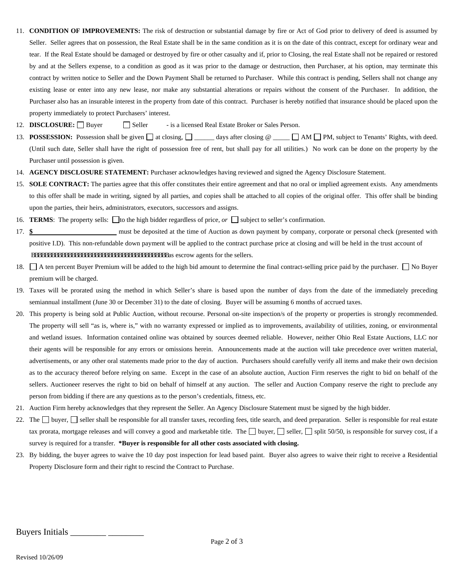- 11. **CONDITION OF IMPROVEMENTS:** The risk of destruction or substantial damage by fire or Act of God prior to delivery of deed is assumed by Seller. Seller agrees that on possession, the Real Estate shall be in the same condition as it is on the date of this contract, except for ordinary wear and tear. If the Real Estate should be damaged or destroyed by fire or other casualty and if, prior to Closing, the real Estate shall not be repaired or restored by and at the Sellers expense, to a condition as good as it was prior to the damage or destruction, then Purchaser, at his option, may terminate this contract by written notice to Seller and the Down Payment Shall be returned to Purchaser. While this contract is pending, Sellers shall not change any existing lease or enter into any new lease, nor make any substantial alterations or repairs without the consent of the Purchaser. In addition, the Purchaser also has an insurable interest in the property from date of this contract. Purchaser is hereby notified that insurance should be placed upon the property immediately to protect Purchasers' interest.
- 12. **DISCLOSURE:** Buyer Seller is a licensed Real Estate Broker or Sales Person.
- 13. **POSSESSION:** Possession shall be given  $\Box$  at closing,  $\Box$  days after closing  $\mathcal{Q}$   $\Box$  AM  $\Box$  PM, subject to Tenants' Rights, with deed. (Until such date, Seller shall have the right of possession free of rent, but shall pay for all utilities.) No work can be done on the property by the Purchaser until possession is given.
- 14. **AGENCY DISCLOSURE STATEMENT:** Purchaser acknowledges having reviewed and signed the Agency Disclosure Statement.
- 15. **SOLE CONTRACT:** The parties agree that this offer constitutes their entire agreement and that no oral or implied agreement exists. Any amendments to this offer shall be made in writing, signed by all parties, and copies shall be attached to all copies of the original offer. This offer shall be binding upon the parties, their heirs, administrators, executors, successors and assigns.
- 16. **TERMS**: The property sells:  $\Box$  to the high bidder regardless of price, *or*  $\Box$  subject to seller's confirmation.
- 17. **\$** must be deposited at the time of Auction as down payment by company, corporate or personal check (presented with positive I.D). This non-refundable down payment will be applied to the contract purchase price at closing and will be held in the trust account of BBBBBBBBBBBBBBBBBBBBBBBBBBBBBBBBBBBBBBBBBas escrow agents for the sellers.
- 18.  $\Box$  A ten percent Buyer Premium will be added to the high bid amount to determine the final contract-selling price paid by the purchaser.  $\Box$  No Buyer premium will be charged.
- 19. Taxes will be prorated using the method in which Seller's share is based upon the number of days from the date of the immediately preceding semiannual installment (June 30 or December 31) to the date of closing. Buyer will be assuming 6 months of accrued taxes.
- 20. This property is being sold at Public Auction, without recourse. Personal on-site inspection/s of the property or properties is strongly recommended. The property will sell "as is, where is," with no warranty expressed or implied as to improvements, availability of utilities, zoning, or environmental and wetland issues. Information contained online was obtained by sources deemed reliable. However, neither Ohio Real Estate Auctions, LLC nor their agents will be responsible for any errors or omissions herein. Announcements made at the auction will take precedence over written material, advertisements, or any other oral statements made prior to the day of auction. Purchasers should carefully verify all items and make their own decision as to the accuracy thereof before relying on same. Except in the case of an absolute auction, Auction Firm reserves the right to bid on behalf of the sellers. Auctioneer reserves the right to bid on behalf of himself at any auction. The seller and Auction Company reserve the right to preclude any person from bidding if there are any questions as to the person's credentials, fitness, etc.
- 21. Auction Firm hereby acknowledges that they represent the Seller. An Agency Disclosure Statement must be signed by the high bidder.
- 22. The  $\Box$  buyer,  $\Box$  seller shall be responsible for all transfer taxes, recording fees, title search, and deed preparation. Seller is responsible for real estate tax prorata, mortgage releases and will convey a good and marketable title. The  $\square$  buyer,  $\square$  seller,  $\square$  split 50/50, is responsible for survey cost, if a survey is required for a transfer. **\*Buyer is responsible for all other costs associated with closing.**
- 23. By bidding, the buyer agrees to waive the 10 day post inspection for lead based paint. Buyer also agrees to waive their right to receive a Residential Property Disclosure form and their right to rescind the Contract to Purchase.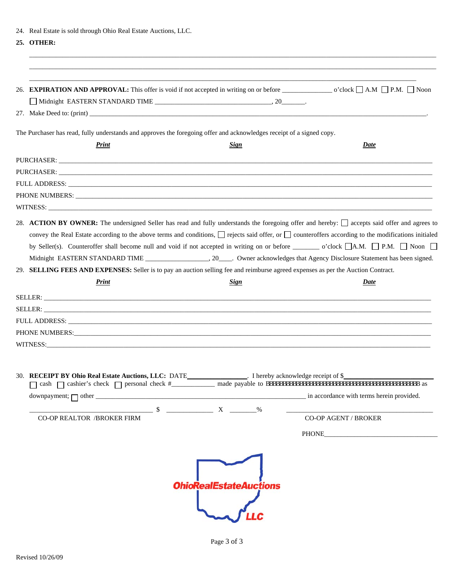|                                                                                                                                                                                                                                                                                                                                                                                                                                                                 | 25. OTHER:                        |
|-----------------------------------------------------------------------------------------------------------------------------------------------------------------------------------------------------------------------------------------------------------------------------------------------------------------------------------------------------------------------------------------------------------------------------------------------------------------|-----------------------------------|
| 26. <b>EXPIRATION AND APPROVAL:</b> This offer is void if not accepted in writing on or before $\Box$ o'clock $\Box$ A.M $\Box$ P.M. $\Box$ Noon<br>27. Make Deed to: (print)                                                                                                                                                                                                                                                                                   |                                   |
|                                                                                                                                                                                                                                                                                                                                                                                                                                                                 |                                   |
| The Purchaser has read, fully understands and approves the foregoing offer and acknowledges receipt of a signed copy.<br><b>Sign</b><br>Date                                                                                                                                                                                                                                                                                                                    | <b>Print</b>                      |
|                                                                                                                                                                                                                                                                                                                                                                                                                                                                 |                                   |
| PURCHASER: New York State State State State State State State State State State State State State State State State State State State State State State State State State State State State State State State State State Stat                                                                                                                                                                                                                                  |                                   |
|                                                                                                                                                                                                                                                                                                                                                                                                                                                                 |                                   |
| PHONE NUMBERS: New York Street and Street and Street and Street and Street and Street and Street and Street and Street and Street and Street and Street and Street and Street and Street and Street and Street and Street and                                                                                                                                                                                                                                   |                                   |
|                                                                                                                                                                                                                                                                                                                                                                                                                                                                 |                                   |
| convey the Real Estate according to the above terms and conditions, $\Box$ rejects said offer, or $\Box$ counteroffers according to the modifications initialed<br>by Seller(s). Counteroffer shall become null and void if not accepted in writing on or before $\Box$ o'clock $\Box$ A.M. $\Box$ P.M. $\Box$ Noon $\Box$<br>29. SELLING FEES AND EXPENSES: Seller is to pay an auction selling fee and reimburse agreed expenses as per the Auction Contract. |                                   |
| <b>Sign</b><br>Date                                                                                                                                                                                                                                                                                                                                                                                                                                             | Print                             |
|                                                                                                                                                                                                                                                                                                                                                                                                                                                                 |                                   |
| SELLER: <u>Contract Communication of the Contract Communication of the Communication of the Communication</u>                                                                                                                                                                                                                                                                                                                                                   |                                   |
| FULL ADDRESS:                                                                                                                                                                                                                                                                                                                                                                                                                                                   |                                   |
| <b>PHONE NUMBERS:</b> The state of the state of the state of the state of the state of the state of the state of the state of the state of the state of the state of the state of the state of the state of the state of the state                                                                                                                                                                                                                              |                                   |
| WITNESS:                                                                                                                                                                                                                                                                                                                                                                                                                                                        |                                   |
|                                                                                                                                                                                                                                                                                                                                                                                                                                                                 |                                   |
| CO-OP AGENT / BROKER                                                                                                                                                                                                                                                                                                                                                                                                                                            | <b>CO-OP REALTOR /BROKER FIRM</b> |
|                                                                                                                                                                                                                                                                                                                                                                                                                                                                 |                                   |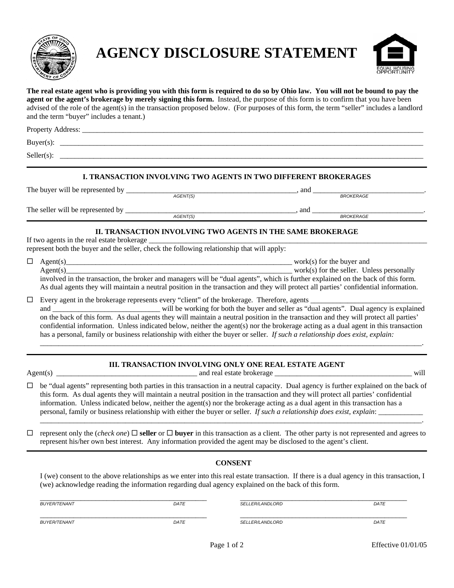

# **AGENCY DISCLOSURE STATEMENT**



| The real estate agent who is providing you with this form is required to do so by Ohio law. You will not be bound to pay the             |
|------------------------------------------------------------------------------------------------------------------------------------------|
| agent or the agent's brokerage by merely signing this form. Instead, the purpose of this form is to confirm that you have been           |
| advised of the role of the agent(s) in the transaction proposed below. (For purposes of this form, the term "seller" includes a landlord |
| and the term "buyer" includes a tenant.)                                                                                                 |

| Property Address: |  |
|-------------------|--|
| $Buyer(s)$ :      |  |
| $Seller(s)$ :     |  |

#### **I. TRANSACTION INVOLVING TWO AGENTS IN TWO DIFFERENT BROKERAGES**

| The buyer will be represented by  |          | and |                  |  |
|-----------------------------------|----------|-----|------------------|--|
|                                   | AGENT(S) |     | <b>BROKERAGE</b> |  |
| The seller will be represented by |          | and |                  |  |
|                                   | AGENT(S) |     | BROKERAGE        |  |

#### **II. TRANSACTION INVOLVING TWO AGENTS IN THE SAME BROKERAGE**

If two agents in the real estate brokerage

represent both the buyer and the seller, check the following relationship that will apply:

| $\Box$ Agent(s)                                                                                                                      | work(s) for the buyer and                    |
|--------------------------------------------------------------------------------------------------------------------------------------|----------------------------------------------|
| Agent(s)                                                                                                                             | work $(s)$ for the seller. Unless personally |
| involved in the transaction, the broker and managers will be "dual agents", which is further explained on the back of this form.     |                                              |
| As dual agents they will maintain a neutral position in the transaction and they will protect all parties' confidential information. |                                              |

 $\Box$  Every agent in the brokerage represents every "client" of the brokerage. Therefore, agents

and \_\_\_\_\_\_\_\_\_\_\_\_\_\_\_\_\_\_\_\_\_\_\_\_\_\_\_\_\_ will be working for both the buyer and seller as "dual agents". Dual agency is explained on the back of this form. As dual agents they will maintain a neutral position in the transaction and they will protect all parties' confidential information. Unless indicated below, neither the agent(s) nor the brokerage acting as a dual agent in this transaction has a personal, family or business relationship with either the buyer or seller. *If such a relationship does exist, explain:* 

*\_\_\_\_\_\_\_\_\_\_\_\_*\_\_\_\_\_\_\_\_\_\_\_\_\_\_\_\_\_\_\_\_\_\_\_\_\_\_\_\_\_\_\_\_\_\_\_\_\_\_\_\_\_\_\_\_\_\_\_\_\_\_\_\_\_\_\_\_\_\_\_\_\_\_\_\_\_\_\_\_\_\_\_\_\_\_\_\_\_\_\_\_\_\_\_\_\_\_\_\_\_\_\_.

### **III. TRANSACTION INVOLVING ONLY ONE REAL ESTATE AGENT**

Agent(s) \_\_\_\_\_\_\_\_\_\_\_\_\_\_\_\_\_\_\_\_\_\_\_\_\_\_\_\_\_\_\_\_\_\_\_\_\_\_ and real estate brokerage \_\_\_\_\_\_\_\_\_\_\_\_\_\_\_\_\_\_\_\_\_\_\_\_\_\_\_\_\_\_\_\_\_\_\_\_\_ will

 $\Box$  be "dual agents" representing both parties in this transaction in a neutral capacity. Dual agency is further explained on the back of this form. As dual agents they will maintain a neutral position in the transaction and they will protect all parties' confidential information. Unless indicated below, neither the agent(s) nor the brokerage acting as a dual agent in this transaction has a personal, family or business relationship with either the buyer or seller. *If such a relationship does exist, explain*: \_\_\_\_\_\_\_\_\_\_\_\_

 $\Box$  represent only the (*check one*)  $\Box$  **seller** or  $\Box$  **buyer** in this transaction as a client. The other party is not represented and agrees to represent his/her own best interest. Any information provided the agent may be disclosed to the agent's client.

\_\_\_\_\_\_\_\_\_\_\_\_\_\_\_\_\_\_\_\_\_\_\_\_\_\_\_\_\_\_\_\_\_\_\_\_\_\_\_\_\_\_\_\_\_\_\_\_\_\_\_\_\_\_\_\_\_\_\_\_\_\_\_\_\_\_\_\_\_\_\_\_\_\_\_\_\_\_\_\_\_\_\_\_\_\_\_\_\_\_\_\_\_\_\_\_\_\_\_\_\_\_\_.

### **CONSENT**

I (we) consent to the above relationships as we enter into this real estate transaction. If there is a dual agency in this transaction, I (we) acknowledge reading the information regarding dual agency explained on the back of this form.

| <i>BUYER/TENANT</i> | DATE | <i>SELLER/LANDLORD</i> | DATE |
|---------------------|------|------------------------|------|
| <i>BUYER/TENANT</i> | DATE | <i>SELLER/LANDLORD</i> | DATE |

Page 1 of 2 Effective 01/01/05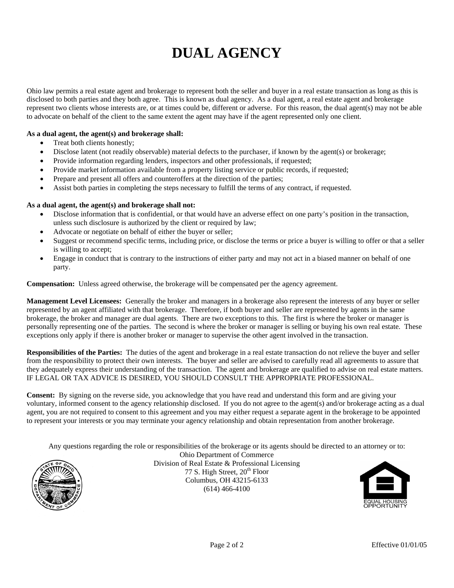# **DUAL AGENCY**

Ohio law permits a real estate agent and brokerage to represent both the seller and buyer in a real estate transaction as long as this is disclosed to both parties and they both agree. This is known as dual agency. As a dual agent, a real estate agent and brokerage represent two clients whose interests are, or at times could be, different or adverse. For this reason, the dual agent(s) may not be able to advocate on behalf of the client to the same extent the agent may have if the agent represented only one client.

### **As a dual agent, the agent(s) and brokerage shall:**

- Treat both clients honestly;
- Disclose latent (not readily observable) material defects to the purchaser, if known by the agent(s) or brokerage;
- Provide information regarding lenders, inspectors and other professionals, if requested;
- Provide market information available from a property listing service or public records, if requested;
- Prepare and present all offers and counteroffers at the direction of the parties;
- Assist both parties in completing the steps necessary to fulfill the terms of any contract, if requested.

### **As a dual agent, the agent(s) and brokerage shall not:**

- Disclose information that is confidential, or that would have an adverse effect on one party's position in the transaction, unless such disclosure is authorized by the client or required by law;
- Advocate or negotiate on behalf of either the buyer or seller;
- Suggest or recommend specific terms, including price, or disclose the terms or price a buyer is willing to offer or that a seller is willing to accept;
- Engage in conduct that is contrary to the instructions of either party and may not act in a biased manner on behalf of one party.

**Compensation:** Unless agreed otherwise, the brokerage will be compensated per the agency agreement.

**Management Level Licensees:** Generally the broker and managers in a brokerage also represent the interests of any buyer or seller represented by an agent affiliated with that brokerage. Therefore, if both buyer and seller are represented by agents in the same brokerage, the broker and manager are dual agents. There are two exceptions to this. The first is where the broker or manager is personally representing one of the parties. The second is where the broker or manager is selling or buying his own real estate. These exceptions only apply if there is another broker or manager to supervise the other agent involved in the transaction.

**Responsibilities of the Parties:** The duties of the agent and brokerage in a real estate transaction do not relieve the buyer and seller from the responsibility to protect their own interests. The buyer and seller are advised to carefully read all agreements to assure that they adequately express their understanding of the transaction. The agent and brokerage are qualified to advise on real estate matters. IF LEGAL OR TAX ADVICE IS DESIRED, YOU SHOULD CONSULT THE APPROPRIATE PROFESSIONAL.

**Consent:** By signing on the reverse side, you acknowledge that you have read and understand this form and are giving your voluntary, informed consent to the agency relationship disclosed. If you do not agree to the agent(s) and/or brokerage acting as a dual agent, you are not required to consent to this agreement and you may either request a separate agent in the brokerage to be appointed to represent your interests or you may terminate your agency relationship and obtain representation from another brokerage.

Any questions regarding the role or responsibilities of the brokerage or its agents should be directed to an attorney or to:



Ohio Department of Commerce Division of Real Estate & Professional Licensing 77 S. High Street,  $20^{th}$  Floor Columbus, OH 43215-6133 (614) 466-4100

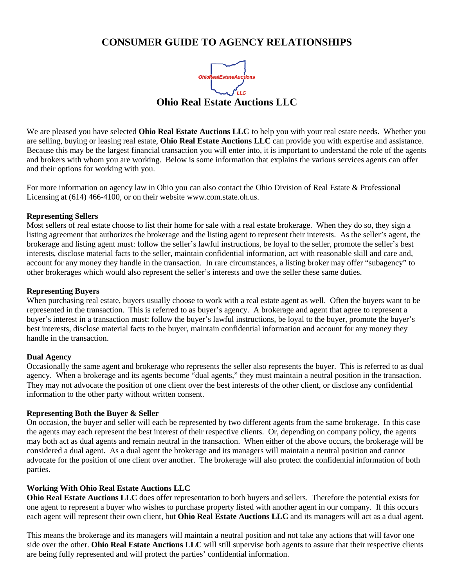## **CONSUMER GUIDE TO AGENCY RELATIONSHIPS**



We are pleased you have selected **Ohio Real Estate Auctions LLC** to help you with your real estate needs. Whether you are selling, buying or leasing real estate, **Ohio Real Estate Auctions LLC** can provide you with expertise and assistance. Because this may be the largest financial transaction you will enter into, it is important to understand the role of the agents and brokers with whom you are working. Below is some information that explains the various services agents can offer and their options for working with you.

For more information on agency law in Ohio you can also contact the Ohio Division of Real Estate & Professional Licensing at (614) 466-4100, or on their website www.com.state.oh.us.

### **Representing Sellers**

Most sellers of real estate choose to list their home for sale with a real estate brokerage. When they do so, they sign a listing agreement that authorizes the brokerage and the listing agent to represent their interests. As the seller's agent, the brokerage and listing agent must: follow the seller's lawful instructions, be loyal to the seller, promote the seller's best interests, disclose material facts to the seller, maintain confidential information, act with reasonable skill and care and, account for any money they handle in the transaction. In rare circumstances, a listing broker may offer "subagency" to other brokerages which would also represent the seller's interests and owe the seller these same duties.

### **Representing Buyers**

When purchasing real estate, buyers usually choose to work with a real estate agent as well. Often the buyers want to be represented in the transaction. This is referred to as buyer's agency. A brokerage and agent that agree to represent a buyer's interest in a transaction must: follow the buyer's lawful instructions, be loyal to the buyer, promote the buyer's best interests, disclose material facts to the buyer, maintain confidential information and account for any money they handle in the transaction.

### **Dual Agency**

Occasionally the same agent and brokerage who represents the seller also represents the buyer. This is referred to as dual agency. When a brokerage and its agents become "dual agents," they must maintain a neutral position in the transaction. They may not advocate the position of one client over the best interests of the other client, or disclose any confidential information to the other party without written consent.

### **Representing Both the Buyer & Seller**

On occasion, the buyer and seller will each be represented by two different agents from the same brokerage. In this case the agents may each represent the best interest of their respective clients. Or, depending on company policy, the agents may both act as dual agents and remain neutral in the transaction. When either of the above occurs, the brokerage will be considered a dual agent. As a dual agent the brokerage and its managers will maintain a neutral position and cannot advocate for the position of one client over another. The brokerage will also protect the confidential information of both parties.

### **Working With Ohio Real Estate Auctions LLC**

**Ohio Real Estate Auctions LLC** does offer representation to both buyers and sellers. Therefore the potential exists for one agent to represent a buyer who wishes to purchase property listed with another agent in our company. If this occurs each agent will represent their own client, but **Ohio Real Estate Auctions LLC** and its managers will act as a dual agent.

This means the brokerage and its managers will maintain a neutral position and not take any actions that will favor one side over the other. **Ohio Real Estate Auctions LLC** will still supervise both agents to assure that their respective clients are being fully represented and will protect the parties' confidential information.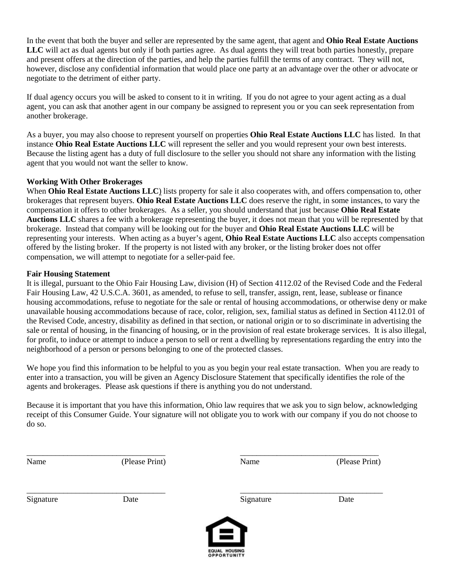In the event that both the buyer and seller are represented by the same agent, that agent and **Ohio Real Estate Auctions LLC** will act as dual agents but only if both parties agree. As dual agents they will treat both parties honestly, prepare and present offers at the direction of the parties, and help the parties fulfill the terms of any contract. They will not, however, disclose any confidential information that would place one party at an advantage over the other or advocate or negotiate to the detriment of either party.

If dual agency occurs you will be asked to consent to it in writing. If you do not agree to your agent acting as a dual agent, you can ask that another agent in our company be assigned to represent you or you can seek representation from another brokerage.

As a buyer, you may also choose to represent yourself on properties **Ohio Real Estate Auctions LLC** has listed. In that instance **Ohio Real Estate Auctions LLC** will represent the seller and you would represent your own best interests. Because the listing agent has a duty of full disclosure to the seller you should not share any information with the listing agent that you would not want the seller to know.

### **Working With Other Brokerages**

When **Ohio Real Estate Auctions LLC**) lists property for sale it also cooperates with, and offers compensation to, other brokerages that represent buyers. **Ohio Real Estate Auctions LLC** does reserve the right, in some instances, to vary the compensation it offers to other brokerages. As a seller, you should understand that just because **Ohio Real Estate Auctions LLC** shares a fee with a brokerage representing the buyer, it does not mean that you will be represented by that brokerage. Instead that company will be looking out for the buyer and **Ohio Real Estate Auctions LLC** will be representing your interests. When acting as a buyer's agent, **Ohio Real Estate Auctions LLC** also accepts compensation offered by the listing broker. If the property is not listed with any broker, or the listing broker does not offer compensation, we will attempt to negotiate for a seller-paid fee.

### **Fair Housing Statement**

It is illegal, pursuant to the Ohio Fair Housing Law, division (H) of Section 4112.02 of the Revised Code and the Federal Fair Housing Law, 42 U.S.C.A. 3601, as amended, to refuse to sell, transfer, assign, rent, lease, sublease or finance housing accommodations, refuse to negotiate for the sale or rental of housing accommodations, or otherwise deny or make unavailable housing accommodations because of race, color, religion, sex, familial status as defined in Section 4112.01 of the Revised Code, ancestry, disability as defined in that section, or national origin or to so discriminate in advertising the sale or rental of housing, in the financing of housing, or in the provision of real estate brokerage services. It is also illegal, for profit, to induce or attempt to induce a person to sell or rent a dwelling by representations regarding the entry into the neighborhood of a person or persons belonging to one of the protected classes.

We hope you find this information to be helpful to you as you begin your real estate transaction. When you are ready to enter into a transaction, you will be given an Agency Disclosure Statement that specifically identifies the role of the agents and brokerages. Please ask questions if there is anything you do not understand.

Because it is important that you have this information, Ohio law requires that we ask you to sign below, acknowledging receipt of this Consumer Guide. Your signature will not obligate you to work with our company if you do not choose to do so.

\_\_\_\_\_\_\_\_\_\_\_\_\_\_\_\_\_\_\_\_\_\_\_\_\_\_\_\_\_\_\_\_\_\_ \_\_\_\_\_\_\_\_\_\_\_\_\_\_\_\_\_\_\_\_\_\_\_\_\_\_\_\_\_\_\_\_\_\_

Name (Please Print) Name (Please Print) Name (Please Print)

\_\_\_\_\_\_\_\_\_\_\_\_\_\_\_\_\_\_\_\_\_\_\_\_\_\_\_\_\_\_\_\_\_\_ \_\_\_\_\_\_\_\_\_\_\_\_\_\_\_\_\_\_\_\_\_\_\_\_\_\_\_\_\_\_\_\_\_\_\_

Signature Date Date Signature Date